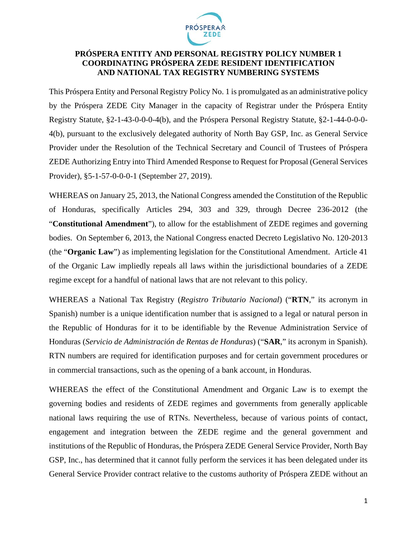

## **PRÓSPERA ENTITY AND PERSONAL REGISTRY POLICY NUMBER 1 COORDINATING PRÓSPERA ZEDE RESIDENT IDENTIFICATION AND NATIONAL TAX REGISTRY NUMBERING SYSTEMS**

This Próspera Entity and Personal Registry Policy No. 1 is promulgated as an administrative policy by the Próspera ZEDE City Manager in the capacity of Registrar under the Próspera Entity Registry Statute, §2-1-43-0-0-0-4(b), and the Próspera Personal Registry Statute, §2-1-44-0-0-0- 4(b), pursuant to the exclusively delegated authority of North Bay GSP, Inc. as General Service Provider under the Resolution of the Technical Secretary and Council of Trustees of Próspera ZEDE Authorizing Entry into Third Amended Response to Request for Proposal (General Services Provider), §5-1-57-0-0-0-1 (September 27, 2019).

WHEREAS on January 25, 2013, the National Congress amended the Constitution of the Republic of Honduras, specifically Articles 294, 303 and 329, through Decree 236-2012 (the "**Constitutional Amendment**"), to allow for the establishment of ZEDE regimes and governing bodies. On September 6, 2013, the National Congress enacted Decreto Legislativo No. 120-2013 (the "**Organic Law**") as implementing legislation for the Constitutional Amendment. Article 41 of the Organic Law impliedly repeals all laws within the jurisdictional boundaries of a ZEDE regime except for a handful of national laws that are not relevant to this policy.

WHEREAS a National Tax Registry (*Registro Tributario Nacional*) ("**RTN**," its acronym in Spanish) number is a unique identification number that is assigned to a legal or natural person in the Republic of Honduras for it to be identifiable by the Revenue Administration Service of Honduras (*Servicio de Administración de Rentas de Honduras*) ("**SAR**," its acronym in Spanish). RTN numbers are required for identification purposes and for certain government procedures or in commercial transactions, such as the opening of a bank account, in Honduras.

WHEREAS the effect of the Constitutional Amendment and Organic Law is to exempt the governing bodies and residents of ZEDE regimes and governments from generally applicable national laws requiring the use of RTNs. Nevertheless, because of various points of contact, engagement and integration between the ZEDE regime and the general government and institutions of the Republic of Honduras, the Próspera ZEDE General Service Provider, North Bay GSP, Inc., has determined that it cannot fully perform the services it has been delegated under its General Service Provider contract relative to the customs authority of Próspera ZEDE without an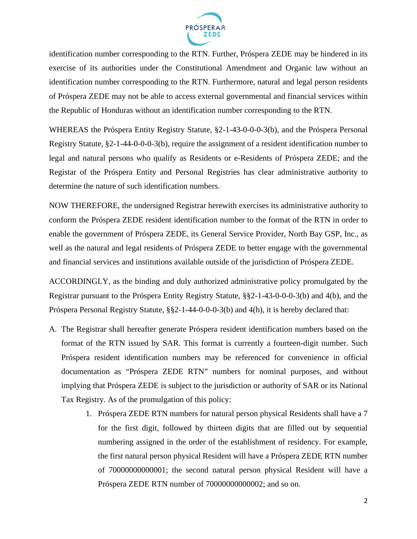

identification number corresponding to the RTN. Further, Próspera ZEDE may be hindered in its exercise of its authorities under the Constitutional Amendment and Organic law without an identification number corresponding to the RTN. Furthermore, natural and legal person residents of Próspera ZEDE may not be able to access external governmental and financial services within the Republic of Honduras without an identification number corresponding to the RTN.

WHEREAS the Próspera Entity Registry Statute, §2-1-43-0-0-0-3(b), and the Próspera Personal Registry Statute, §2-1-44-0-0-0-3(b), require the assignment of a resident identification number to legal and natural persons who qualify as Residents or e-Residents of Próspera ZEDE; and the Registar of the Próspera Entity and Personal Registries has clear administrative authority to determine the nature of such identification numbers.

NOW THEREFORE, the undersigned Registrar herewith exercises its administrative authority to conform the Próspera ZEDE resident identification number to the format of the RTN in order to enable the government of Próspera ZEDE, its General Service Provider, North Bay GSP, Inc., as well as the natural and legal residents of Próspera ZEDE to better engage with the governmental and financial services and institutions available outside of the jurisdiction of Próspera ZEDE.

ACCORDINGLY, as the binding and duly authorized administrative policy promulgated by the Registrar pursuant to the Próspera Entity Registry Statute, §§2-1-43-0-0-0-3(b) and 4(b), and the Próspera Personal Registry Statute, §§2-1-44-0-0-0-3(b) and 4(b), it is hereby declared that:

- A. The Registrar shall hereafter generate Próspera resident identification numbers based on the format of the RTN issued by SAR. This format is currently a fourteen-digit number. Such Próspera resident identification numbers may be referenced for convenience in official documentation as "Próspera ZEDE RTN" numbers for nominal purposes, and without implying that Próspera ZEDE is subject to the jurisdiction or authority of SAR or its National Tax Registry. As of the promulgation of this policy:
	- 1. Próspera ZEDE RTN numbers for natural person physical Residents shall have a 7 for the first digit, followed by thirteen digits that are filled out by sequential numbering assigned in the order of the establishment of residency. For example, the first natural person physical Resident will have a Próspera ZEDE RTN number of 70000000000001; the second natural person physical Resident will have a Próspera ZEDE RTN number of 70000000000002; and so on.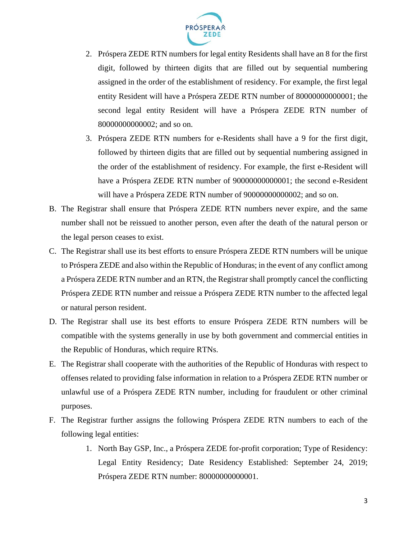

- 2. Próspera ZEDE RTN numbers for legal entity Residents shall have an 8 for the first digit, followed by thirteen digits that are filled out by sequential numbering assigned in the order of the establishment of residency. For example, the first legal entity Resident will have a Próspera ZEDE RTN number of 80000000000001; the second legal entity Resident will have a Próspera ZEDE RTN number of 80000000000002; and so on.
- 3. Próspera ZEDE RTN numbers for e-Residents shall have a 9 for the first digit, followed by thirteen digits that are filled out by sequential numbering assigned in the order of the establishment of residency. For example, the first e-Resident will have a Próspera ZEDE RTN number of 90000000000001; the second e-Resident will have a Próspera ZEDE RTN number of 90000000000002; and so on.
- B. The Registrar shall ensure that Próspera ZEDE RTN numbers never expire, and the same number shall not be reissued to another person, even after the death of the natural person or the legal person ceases to exist.
- C. The Registrar shall use its best efforts to ensure Próspera ZEDE RTN numbers will be unique to Próspera ZEDE and also within the Republic of Honduras; in the event of any conflict among a Próspera ZEDE RTN number and an RTN, the Registrar shall promptly cancel the conflicting Próspera ZEDE RTN number and reissue a Próspera ZEDE RTN number to the affected legal or natural person resident.
- D. The Registrar shall use its best efforts to ensure Próspera ZEDE RTN numbers will be compatible with the systems generally in use by both government and commercial entities in the Republic of Honduras, which require RTNs.
- E. The Registrar shall cooperate with the authorities of the Republic of Honduras with respect to offenses related to providing false information in relation to a Próspera ZEDE RTN number or unlawful use of a Próspera ZEDE RTN number, including for fraudulent or other criminal purposes.
- F. The Registrar further assigns the following Próspera ZEDE RTN numbers to each of the following legal entities:
	- 1. North Bay GSP, Inc., a Próspera ZEDE for-profit corporation; Type of Residency: Legal Entity Residency; Date Residency Established: September 24, 2019; Próspera ZEDE RTN number: 80000000000001.